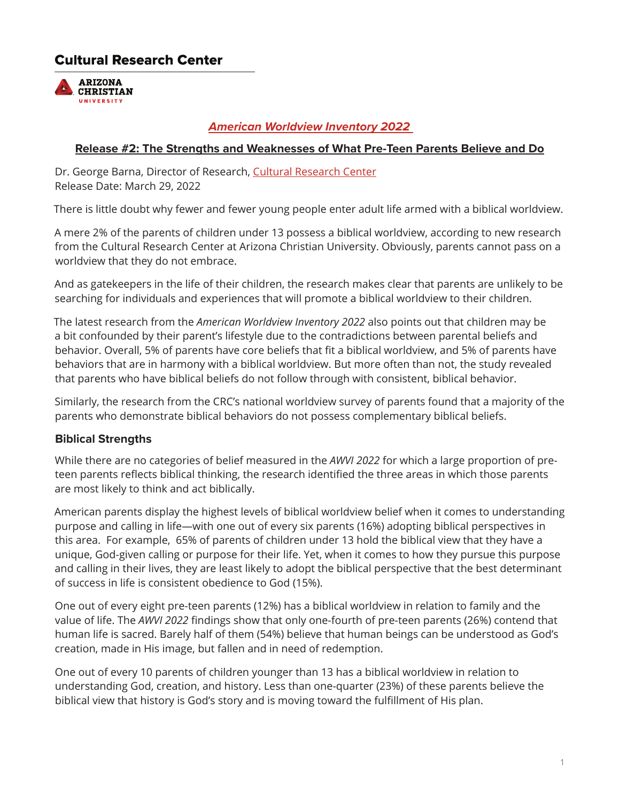# **Cultural Research Center**



#### *American Worldview Inventory 2022*

#### **Release #2: The Strengths and Weaknesses of What Pre-Teen Parents Believe and Do**

Dr. George Barna, Director of Research, [Cultural Research Center](https://www.arizonachristian.edu/culturalresearchcenter)  Release Date: March 29, 2022

There is little doubt why fewer and fewer young people enter adult life armed with a biblical worldview.

A mere 2% of the parents of children under 13 possess a biblical worldview, according to new research from the Cultural Research Center at Arizona Christian University. Obviously, parents cannot pass on a worldview that they do not embrace.

And as gatekeepers in the life of their children, the research makes clear that parents are unlikely to be searching for individuals and experiences that will promote a biblical worldview to their children.

The latest research from the *American Worldview Inventory 2022* also points out that children may be a bit confounded by their parent's lifestyle due to the contradictions between parental beliefs and behavior. Overall, 5% of parents have core beliefs that fit a biblical worldview, and 5% of parents have behaviors that are in harmony with a biblical worldview. But more often than not, the study revealed that parents who have biblical beliefs do not follow through with consistent, biblical behavior.

Similarly, the research from the CRC's national worldview survey of parents found that a majority of the parents who demonstrate biblical behaviors do not possess complementary biblical beliefs.

#### **Biblical Strengths**

While there are no categories of belief measured in the *AWVI 2022* for which a large proportion of preteen parents reflects biblical thinking, the research identified the three areas in which those parents are most likely to think and act biblically.

American parents display the highest levels of biblical worldview belief when it comes to understanding purpose and calling in life—with one out of every six parents (16%) adopting biblical perspectives in this area. For example, 65% of parents of children under 13 hold the biblical view that they have a unique, God-given calling or purpose for their life. Yet, when it comes to how they pursue this purpose and calling in their lives, they are least likely to adopt the biblical perspective that the best determinant of success in life is consistent obedience to God (15%).

One out of every eight pre-teen parents (12%) has a biblical worldview in relation to family and the value of life. The *AWVI 2022* findings show that only one-fourth of pre-teen parents (26%) contend that human life is sacred. Barely half of them (54%) believe that human beings can be understood as God's creation, made in His image, but fallen and in need of redemption.

One out of every 10 parents of children younger than 13 has a biblical worldview in relation to understanding God, creation, and history. Less than one-quarter (23%) of these parents believe the biblical view that history is God's story and is moving toward the fulfillment of His plan.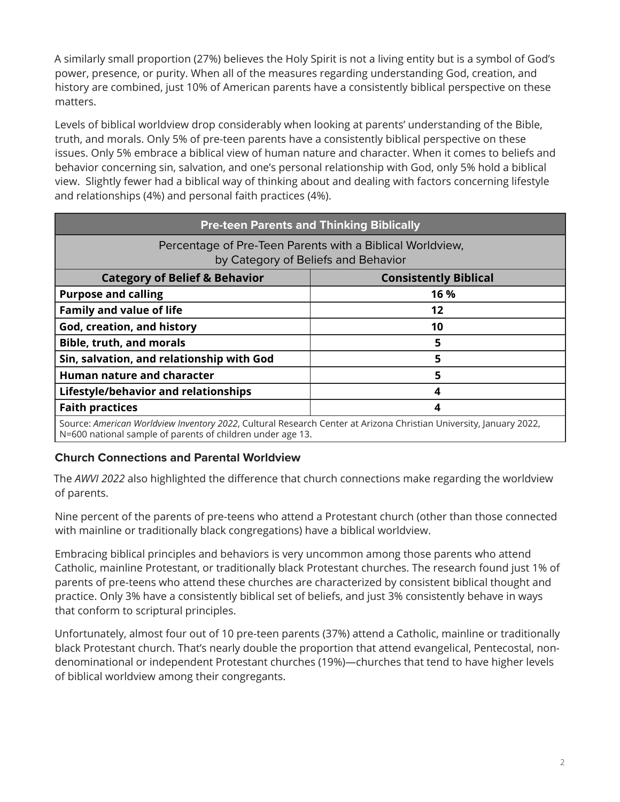A similarly small proportion (27%) believes the Holy Spirit is not a living entity but is a symbol of God's power, presence, or purity. When all of the measures regarding understanding God, creation, and history are combined, just 10% of American parents have a consistently biblical perspective on these matters.

Levels of biblical worldview drop considerably when looking at parents' understanding of the Bible, truth, and morals. Only 5% of pre-teen parents have a consistently biblical perspective on these issues. Only 5% embrace a biblical view of human nature and character. When it comes to beliefs and behavior concerning sin, salvation, and one's personal relationship with God, only 5% hold a biblical view. Slightly fewer had a biblical way of thinking about and dealing with factors concerning lifestyle and relationships (4%) and personal faith practices (4%).

| <b>Pre-teen Parents and Thinking Biblically</b>                                                                                                                                  |                              |
|----------------------------------------------------------------------------------------------------------------------------------------------------------------------------------|------------------------------|
| Percentage of Pre-Teen Parents with a Biblical Worldview,<br>by Category of Beliefs and Behavior                                                                                 |                              |
| <b>Category of Belief &amp; Behavior</b>                                                                                                                                         | <b>Consistently Biblical</b> |
| <b>Purpose and calling</b>                                                                                                                                                       | 16 %                         |
| <b>Family and value of life</b>                                                                                                                                                  | 12                           |
| God, creation, and history                                                                                                                                                       | 10                           |
| <b>Bible, truth, and morals</b>                                                                                                                                                  | 5                            |
| Sin, salvation, and relationship with God                                                                                                                                        | 5                            |
| <b>Human nature and character</b>                                                                                                                                                | 5                            |
| Lifestyle/behavior and relationships                                                                                                                                             | 4                            |
| <b>Faith practices</b>                                                                                                                                                           | 4                            |
| Source: American Worldview Inventory 2022, Cultural Research Center at Arizona Christian University, January 2022,<br>N=600 national sample of parents of children under age 13. |                              |

#### **Church Connections and Parental Worldview**

The *AWVI 2022* also highlighted the difference that church connections make regarding the worldview of parents.

Nine percent of the parents of pre-teens who attend a Protestant church (other than those connected with mainline or traditionally black congregations) have a biblical worldview.

Embracing biblical principles and behaviors is very uncommon among those parents who attend Catholic, mainline Protestant, or traditionally black Protestant churches. The research found just 1% of parents of pre-teens who attend these churches are characterized by consistent biblical thought and practice. Only 3% have a consistently biblical set of beliefs, and just 3% consistently behave in ways that conform to scriptural principles.

Unfortunately, almost four out of 10 pre-teen parents (37%) attend a Catholic, mainline or traditionally black Protestant church. That's nearly double the proportion that attend evangelical, Pentecostal, nondenominational or independent Protestant churches (19%)—churches that tend to have higher levels of biblical worldview among their congregants.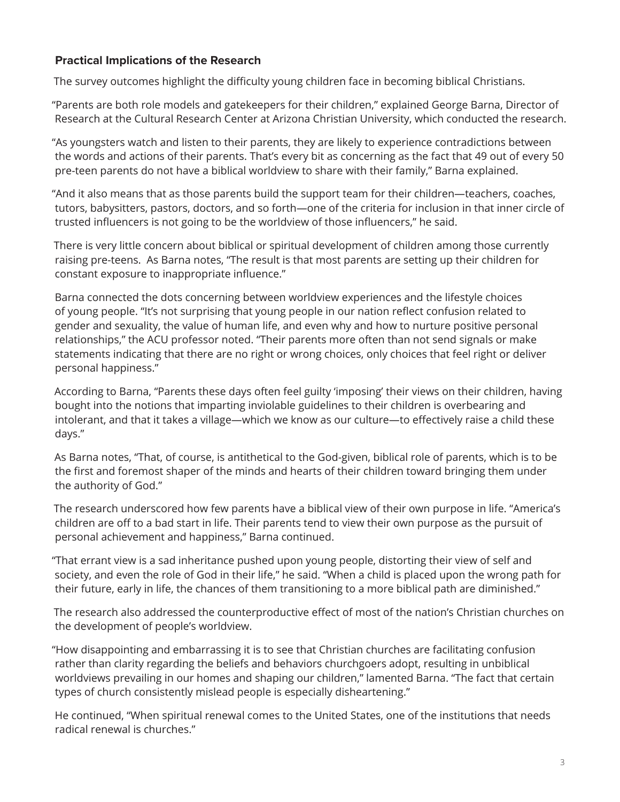#### **Practical Implications of the Research**

The survey outcomes highlight the difficulty young children face in becoming biblical Christians.

"Parents are both role models and gatekeepers for their children," explained George Barna, Director of Research at the Cultural Research Center at Arizona Christian University, which conducted the research.

"As youngsters watch and listen to their parents, they are likely to experience contradictions between the words and actions of their parents. That's every bit as concerning as the fact that 49 out of every 50 pre-teen parents do not have a biblical worldview to share with their family," Barna explained.

"And it also means that as those parents build the support team for their children—teachers, coaches, tutors, babysitters, pastors, doctors, and so forth—one of the criteria for inclusion in that inner circle of trusted influencers is not going to be the worldview of those influencers," he said.

There is very little concern about biblical or spiritual development of children among those currently raising pre-teens. As Barna notes, "The result is that most parents are setting up their children for constant exposure to inappropriate influence."

Barna connected the dots concerning between worldview experiences and the lifestyle choices of young people. "It's not surprising that young people in our nation reflect confusion related to gender and sexuality, the value of human life, and even why and how to nurture positive personal relationships," the ACU professor noted. "Their parents more often than not send signals or make statements indicating that there are no right or wrong choices, only choices that feel right or deliver personal happiness."

According to Barna, "Parents these days often feel guilty 'imposing' their views on their children, having bought into the notions that imparting inviolable guidelines to their children is overbearing and intolerant, and that it takes a village—which we know as our culture—to effectively raise a child these days."

As Barna notes, "That, of course, is antithetical to the God-given, biblical role of parents, which is to be the first and foremost shaper of the minds and hearts of their children toward bringing them under the authority of God."

The research underscored how few parents have a biblical view of their own purpose in life. "America's children are off to a bad start in life. Their parents tend to view their own purpose as the pursuit of personal achievement and happiness," Barna continued.

"That errant view is a sad inheritance pushed upon young people, distorting their view of self and society, and even the role of God in their life," he said. "When a child is placed upon the wrong path for their future, early in life, the chances of them transitioning to a more biblical path are diminished."

The research also addressed the counterproductive effect of most of the nation's Christian churches on the development of people's worldview.

"How disappointing and embarrassing it is to see that Christian churches are facilitating confusion rather than clarity regarding the beliefs and behaviors churchgoers adopt, resulting in unbiblical worldviews prevailing in our homes and shaping our children," lamented Barna. "The fact that certain types of church consistently mislead people is especially disheartening."

He continued, "When spiritual renewal comes to the United States, one of the institutions that needs radical renewal is churches."